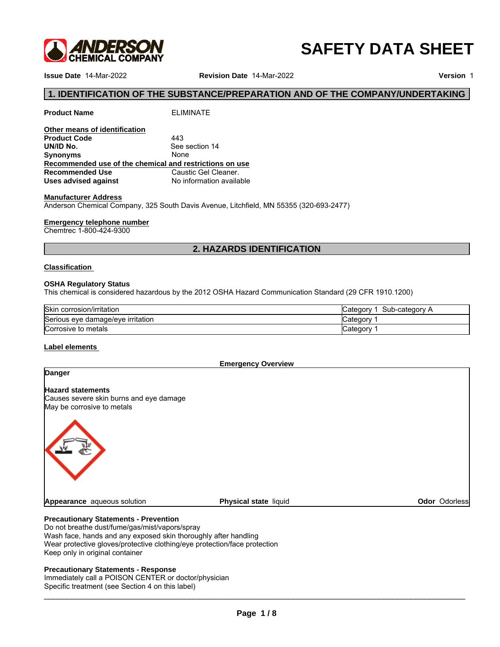

# **SAFETY DATA SHEET**

**Issue Date** 14-Mar-2022 **Revision Date** 14-Mar-2022

**Version** 1

# **1. IDENTIFICATION OF THE SUBSTANCE/PREPARATION AND OF THE COMPANY/UNDERTAKING**<br>1. IDENTIFICATION OF THE SUBSTANCE/PREPARATION AND OF THE COMPANY/UNDERTAKING<br><sup>1.</sup>roduct Name ELIMINATE<br><sup>201</sup>0ther means of identification<br><sup>20</sup>

| <b>Product Name</b>                                     | <b>ELIMINATE</b>                                                                       |
|---------------------------------------------------------|----------------------------------------------------------------------------------------|
| Other means of identification                           |                                                                                        |
| <b>Product Code</b>                                     | 443                                                                                    |
| UN/ID No.                                               | See section 14                                                                         |
| <b>Synonyms</b>                                         | None                                                                                   |
| Recommended use of the chemical and restrictions on use |                                                                                        |
| <b>Recommended Use</b>                                  | Caustic Gel Cleaner.                                                                   |
| Uses advised against                                    | No information available                                                               |
| <b>Manufacturer Address</b>                             |                                                                                        |
|                                                         | Anderson Chemical Company, 325 South Davis Avenue, Litchfield, MN 55355 (320-693-2477) |
| <b>Emergency telephone number</b>                       |                                                                                        |
| Chemtrec 1-800-424-9300                                 |                                                                                        |
|                                                         | <b>2. HAZARDS IDENTIFICATION</b>                                                       |
| <b>Classification</b>                                   |                                                                                        |
| <b>OSHA Requiatory Status</b>                           |                                                                                        |

### **Manufacturer Address**

### **Emergency telephone number**

### **Classification**

### **OSHA Regulatory Status**

This chemical is considered hazardous by the 2012 OSHA Hazard Communication Standard (29 CFR 1910.1200)

| <b>Skir</b><br>. .<br>corrosion/irritation    | Categor<br>-category<br>Sub<br>. |  |
|-----------------------------------------------|----------------------------------|--|
| <b>Serious</b><br>; eve damage/eve irritation | Categor                          |  |
| Corrosive to metals                           | ∵ategor                          |  |

# **Label elements**

**Emergency Overview**

# **Danger**

**Hazard statements**

Causes severe skin burns and eye damage May be corrosive to metals



**Physical state liquid Contract Contract Contract Contract Contract Contract Contract Contract Contract Contract Contract Contract Contract Contract Contract Contract Contract Contract Contract Contract Contract Contract C** 

### **Precautionary Statements - Prevention**

Do not breathe dust/fume/gas/mist/vapors/spray Wash face, hands and any exposed skin thoroughly after handling Wear protective gloves/protective clothing/eye protection/face protection Keep only in original container

### **Precautionary Statements - Response**

Immediately call a POISON CENTER or doctor/physician Specific treatment (see Section 4 on this label)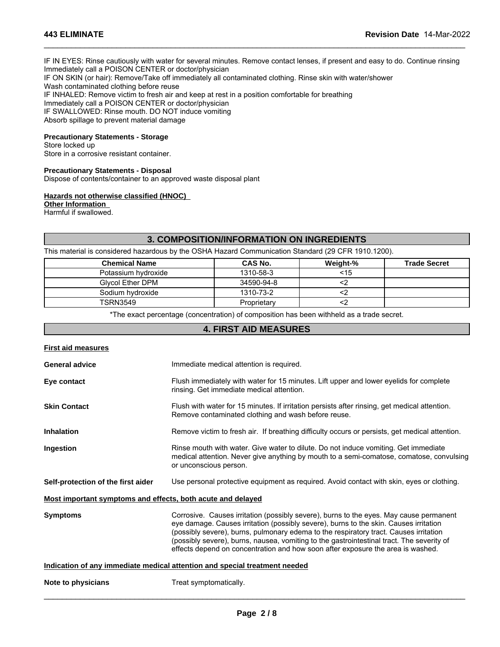IF IN EYES: Rinse cautiously with water for several minutes. Remove contact lenses, if present and easy to do. Continue rinsing Immediately call a POISON CENTER or doctor/physician IF ON SKIN (or hair): Remove/Take off immediately all contaminated clothing. Rinse skin with water/shower Wash contaminated clothing before reuse IF INHALED: Remove victim to fresh air and keep at rest in a position comfortable for breathing Immediately call a POISON CENTER or doctor/physician IF SWALLOWED: Rinse mouth. DO NOT induce vomiting

\_\_\_\_\_\_\_\_\_\_\_\_\_\_\_\_\_\_\_\_\_\_\_\_\_\_\_\_\_\_\_\_\_\_\_\_\_\_\_\_\_\_\_\_\_\_\_\_\_\_\_\_\_\_\_\_\_\_\_\_\_\_\_\_\_\_\_\_\_\_\_\_\_\_\_\_\_\_\_\_\_\_\_\_\_\_\_\_\_\_\_\_\_

# **Precautionary Statements - Storage**

### **Precautionary Statements - Disposal**

### **Hazards not otherwise classified (HNOC)**

| Immediately call a POISON CENTER or doctor/physician<br>IF SWALLOWED: Rinse mouth. DO NOT induce vomiting       |                                                  |          |                     |
|-----------------------------------------------------------------------------------------------------------------|--------------------------------------------------|----------|---------------------|
| Absorb spillage to prevent material damage                                                                      |                                                  |          |                     |
| <b>Precautionary Statements - Storage</b><br>Store locked up                                                    |                                                  |          |                     |
| Store in a corrosive resistant container.                                                                       |                                                  |          |                     |
| <b>Precautionary Statements - Disposal</b><br>Dispose of contents/container to an approved waste disposal plant |                                                  |          |                     |
| Hazards not otherwise classified (HNOC)<br><b>Other Information</b><br>Harmful if swallowed.                    |                                                  |          |                     |
|                                                                                                                 | <b>3. COMPOSITION/INFORMATION ON INGREDIENTS</b> |          |                     |
| This material is considered hazardous by the OSHA Hazard Communication Standard (29 CFR 1910.1200).             |                                                  |          |                     |
| <b>Chemical Name</b>                                                                                            | <b>CAS No.</b>                                   | Weight-% | <b>Trade Secret</b> |
|                                                                                                                 |                                                  |          |                     |
| Potassium hydroxide                                                                                             | 1310-58-3                                        | $<$ 15   |                     |
| <b>Glycol Ether DPM</b>                                                                                         | 34590-94-8                                       | $2$      |                     |
| Sodium hydroxide                                                                                                | 1310-73-2                                        | $2$      |                     |
| <b>TSRN3549</b>                                                                                                 | Proprietary                                      | $2$      |                     |
| *The exact percentage (concentration) of composition has been withheld as a trade secret.                       |                                                  |          |                     |
|                                                                                                                 | <b>4. FIRST AID MEASURES</b>                     |          |                     |

|  | <b>First aid measures</b> |  |
|--|---------------------------|--|
|  |                           |  |

| <b>General advice</b>                                       | Immediate medical attention is required.                                                                                                                                                                                                                                                                                                                                                                                                                 |  |  |  |
|-------------------------------------------------------------|----------------------------------------------------------------------------------------------------------------------------------------------------------------------------------------------------------------------------------------------------------------------------------------------------------------------------------------------------------------------------------------------------------------------------------------------------------|--|--|--|
| Eye contact                                                 | Flush immediately with water for 15 minutes. Lift upper and lower eyelids for complete<br>rinsing. Get immediate medical attention.                                                                                                                                                                                                                                                                                                                      |  |  |  |
| <b>Skin Contact</b>                                         | Flush with water for 15 minutes. If irritation persists after rinsing, get medical attention.<br>Remove contaminated clothing and wash before reuse.                                                                                                                                                                                                                                                                                                     |  |  |  |
| <b>Inhalation</b>                                           | Remove victim to fresh air. If breathing difficulty occurs or persists, get medical attention.                                                                                                                                                                                                                                                                                                                                                           |  |  |  |
| Ingestion                                                   | Rinse mouth with water. Give water to dilute. Do not induce vomiting. Get immediate<br>medical attention. Never give anything by mouth to a semi-comatose, comatose, convulsing<br>or unconscious person.                                                                                                                                                                                                                                                |  |  |  |
| Self-protection of the first aider                          | Use personal protective equipment as required. Avoid contact with skin, eyes or clothing.                                                                                                                                                                                                                                                                                                                                                                |  |  |  |
| Most important symptoms and effects, both acute and delayed |                                                                                                                                                                                                                                                                                                                                                                                                                                                          |  |  |  |
| <b>Symptoms</b>                                             | Corrosive. Causes irritation (possibly severe), burns to the eyes. May cause permanent<br>eye damage. Causes irritation (possibly severe), burns to the skin. Causes irritation<br>(possibly severe), burns, pulmonary edema to the respiratory tract. Causes irritation<br>(possibly severe), burns, nausea, vomiting to the gastrointestinal tract. The severity of<br>effects depend on concentration and how soon after exposure the area is washed. |  |  |  |
|                                                             | Indication of any immediate medical attention and special treatment needed                                                                                                                                                                                                                                                                                                                                                                               |  |  |  |
| Note to physicians                                          | Treat symptomatically.                                                                                                                                                                                                                                                                                                                                                                                                                                   |  |  |  |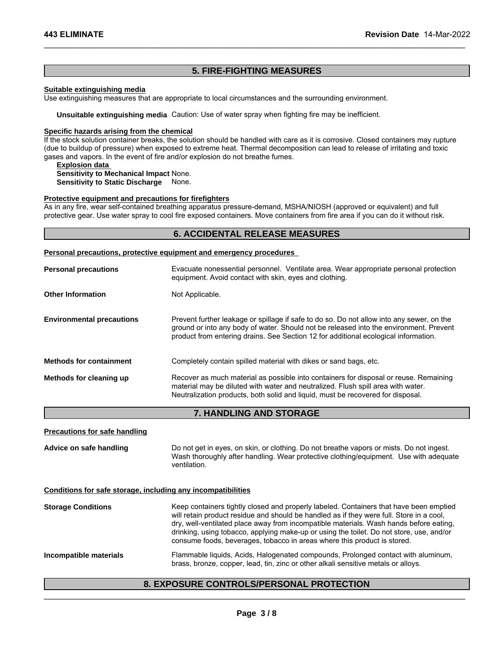\_\_\_\_\_\_\_\_\_\_\_\_\_\_\_\_\_\_\_\_\_\_\_\_\_\_\_\_\_\_\_\_\_\_\_\_\_\_\_\_\_\_\_\_\_\_\_\_\_\_\_\_\_\_\_\_\_\_\_\_\_\_\_\_\_\_\_\_\_\_\_\_\_\_\_\_\_\_\_\_\_\_\_\_\_\_\_\_\_\_\_\_\_

### **Suitable extinguishing media**

**14-**<br> **5. FIRE-FIGHTING MEASURES**<br>
ate to local circumstances and the surrounding environment. Use extinguishing measures that are appropriate to local circumstances and the surrounding environment.

**Unsuitable extinguishing media** Caution: Use of water spray when fighting fire may be inefficient.

### **Specific hazards arising from the chemical**

If the stock solution container breaks, the solution should be handled with care as it is corrosive. Closed containers may rupture (due to buildup of pressure) when exposed to extreme heat. Thermal decomposition can lead to release of irritating and toxic gases and vapors. In the event of fire and/or explosion do not breathe fumes. propriate to local circumstances and the surrounding environment.<br>Caution: Use of water spray when fighting fire may be inefficient.<br>
<u>mical</u><br> **is collined and the shadled with care as it is corrosive. Closed containers ma** 

### **Explosion data**

# **Sensitivity to Mechanical Impact** None.

**Sensitivity to Static Discharge** None.

### **Protective equipment and precautions for firefighters**

As in any fire, wear self-contained breathing apparatus pressure-demand, MSHA/NIOSH (approved or equivalent) and full protective gear. Use water spray to cool fire exposed containers. Move containers from fire area if you can do it without risk.

### **Personal precautions, protective equipment and emergency procedures**

| <b>Personal precautions</b>          | Evacuate nonessential personnel. Ventilate area. Wear appropriate personal protection<br>equipment. Avoid contact with skin, eyes and clothing.                                                                                                                            |
|--------------------------------------|----------------------------------------------------------------------------------------------------------------------------------------------------------------------------------------------------------------------------------------------------------------------------|
| <b>Other Information</b>             | Not Applicable.                                                                                                                                                                                                                                                            |
| <b>Environmental precautions</b>     | Prevent further leakage or spillage if safe to do so. Do not allow into any sewer, on the<br>ground or into any body of water. Should not be released into the environment. Prevent<br>product from entering drains. See Section 12 for additional ecological information. |
| <b>Methods for containment</b>       | Completely contain spilled material with dikes or sand bags, etc.                                                                                                                                                                                                          |
| Methods for cleaning up              | Recover as much material as possible into containers for disposal or reuse. Remaining<br>material may be diluted with water and neutralized. Flush spill area with water.<br>Neutralization products, both solid and liguid, must be recovered for disposal.               |
|                                      | 7. HANDLING AND STORAGE                                                                                                                                                                                                                                                    |
| <b>Precautions for safe handling</b> |                                                                                                                                                                                                                                                                            |
| Advice on safe handling              | Do not get in eves, on skin, or clothing. Do not breathe vapors or mists. Do not ingest.                                                                                                                                                                                   |

### **Conditions for safe storage, including any incompatibilities**

| Advice on safe handling                                      | Do not get in eyes, on skin, or clothing. Do not breathe vapors or mists. Do not ingest.<br>Wash thoroughly after handling. Wear protective clothing/equipment. Use with adequate<br>ventilation.                                                                                                                                                                                                                                                    |
|--------------------------------------------------------------|------------------------------------------------------------------------------------------------------------------------------------------------------------------------------------------------------------------------------------------------------------------------------------------------------------------------------------------------------------------------------------------------------------------------------------------------------|
| Conditions for safe storage, including any incompatibilities |                                                                                                                                                                                                                                                                                                                                                                                                                                                      |
| <b>Storage Conditions</b>                                    | Keep containers tightly closed and properly labeled. Containers that have been emptied<br>will retain product residue and should be handled as if they were full. Store in a cool,<br>dry, well-ventilated place away from incompatible materials. Wash hands before eating,<br>drinking, using tobacco, applying make-up or using the toilet. Do not store, use, and/or<br>consume foods, beverages, tobacco in areas where this product is stored. |
| Incompatible materials                                       | Flammable liquids, Acids, Halogenated compounds, Prolonged contact with aluminum,<br>brass, bronze, copper, lead, tin, zinc or other alkali sensitive metals or alloys.                                                                                                                                                                                                                                                                              |
|                                                              | <b>8. EXPOSURE CONTROLS/PERSONAL PROTECTION</b>                                                                                                                                                                                                                                                                                                                                                                                                      |
|                                                              |                                                                                                                                                                                                                                                                                                                                                                                                                                                      |
|                                                              | Page 3/8                                                                                                                                                                                                                                                                                                                                                                                                                                             |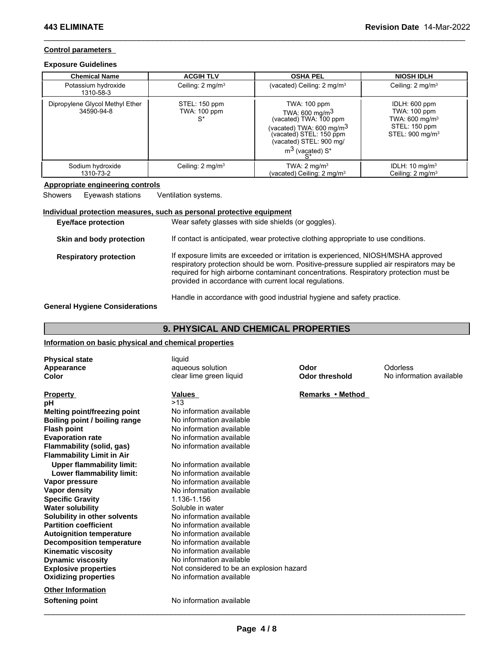# **Control parameters**

# **Exposure Guidelines**

| <b>Chemical Name</b>                          | <b>ACGIH TLV</b>                       | <b>OSHA PEL</b>                                                                                                                                                                             | <b>NIOSH IDLH</b>                                                                                          |
|-----------------------------------------------|----------------------------------------|---------------------------------------------------------------------------------------------------------------------------------------------------------------------------------------------|------------------------------------------------------------------------------------------------------------|
| Potassium hydroxide<br>1310-58-3              | Ceiling: 2 mg/m <sup>3</sup>           | (vacated) Ceiling: 2 mg/m <sup>3</sup>                                                                                                                                                      | Ceiling: 2 mg/m <sup>3</sup>                                                                               |
| Dipropylene Glycol Methyl Ether<br>34590-94-8 | STEL: 150 ppm<br>TWA: 100 ppm<br>$S^*$ | TWA: 100 ppm<br>TWA: 600 mg/m <sup>3</sup><br>(vacated) TWA: 100 ppm<br>(vacated) TWA: 600 mg/m <sup>3</sup><br>(vacated) STEL: 150 ppm<br>(vacated) STEL: 900 mg/<br>$m^3$ (vacated) $S^*$ | IDLH: 600 ppm<br>TWA: 100 ppm<br>TWA: $600 \text{ mg/m}^3$<br>STEL: 150 ppm<br>STEL: 900 mg/m <sup>3</sup> |
| Sodium hydroxide<br>1310-73-2                 | Ceiling: 2 mg/m <sup>3</sup>           | TWA: $2 \text{ mq/m}^3$<br>(vacated) Ceiling: 2 mg/m <sup>3</sup>                                                                                                                           | IDLH: $10 \text{ mg/m}^3$<br>Ceiling: $2 \text{ mq/m}^3$                                                   |

\_\_\_\_\_\_\_\_\_\_\_\_\_\_\_\_\_\_\_\_\_\_\_\_\_\_\_\_\_\_\_\_\_\_\_\_\_\_\_\_\_\_\_\_\_\_\_\_\_\_\_\_\_\_\_\_\_\_\_\_\_\_\_\_\_\_\_\_\_\_\_\_\_\_\_\_\_\_\_\_\_\_\_\_\_\_\_\_\_\_\_\_\_

# **Appropriate engineering controls**

# **Individual protection measures, such as personal protective equipment**

| Showers               | Eyewash stations                      | Ventilation systems.                                                                                                                                                                                                                                                                                                             |
|-----------------------|---------------------------------------|----------------------------------------------------------------------------------------------------------------------------------------------------------------------------------------------------------------------------------------------------------------------------------------------------------------------------------|
|                       |                                       | Individual protection measures, such as personal protective equipment                                                                                                                                                                                                                                                            |
|                       | Eye/face protection                   | Wear safety glasses with side shields (or goggles).                                                                                                                                                                                                                                                                              |
|                       | Skin and body protection              | If contact is anticipated, wear protective clothing appropriate to use conditions.                                                                                                                                                                                                                                               |
|                       | <b>Respiratory protection</b>         | If exposure limits are exceeded or irritation is experienced, NIOSH/MSHA approved<br>respiratory protection should be worn. Positive-pressure supplied air respirators may be<br>required for high airborne contaminant concentrations. Respiratory protection must be<br>provided in accordance with current local regulations. |
|                       | <b>General Hygiene Considerations</b> | Handle in accordance with good industrial hygiene and safety practice.                                                                                                                                                                                                                                                           |
|                       |                                       | <b>9. PHYSICAL AND CHEMICAL PROPERTIES</b>                                                                                                                                                                                                                                                                                       |
|                       |                                       | Information on basic physical and chemical properties                                                                                                                                                                                                                                                                            |
| <b>Physical state</b> |                                       | liquid                                                                                                                                                                                                                                                                                                                           |

# **Information on basic physical and chemical properties**

| <b>Physical state</b><br>Appearance<br>Color | liquid<br>aqueous solution<br>clear lime green liquid | Odor<br><b>Odor threshold</b> | Odorless<br>No information available |
|----------------------------------------------|-------------------------------------------------------|-------------------------------|--------------------------------------|
| <b>Property</b>                              | Values                                                | Remarks • Method              |                                      |
| рH                                           | >13                                                   |                               |                                      |
| <b>Melting point/freezing point</b>          | No information available                              |                               |                                      |
| Boiling point / boiling range                | No information available                              |                               |                                      |
| <b>Flash point</b>                           | No information available                              |                               |                                      |
| <b>Evaporation rate</b>                      | No information available                              |                               |                                      |
| Flammability (solid, gas)                    | No information available                              |                               |                                      |
| <b>Flammability Limit in Air</b>             |                                                       |                               |                                      |
| <b>Upper flammability limit:</b>             | No information available                              |                               |                                      |
| Lower flammability limit:                    | No information available                              |                               |                                      |
| Vapor pressure                               | No information available                              |                               |                                      |
| Vapor density                                | No information available                              |                               |                                      |
| <b>Specific Gravity</b>                      | 1.136-1.156                                           |                               |                                      |
| <b>Water solubility</b>                      | Soluble in water                                      |                               |                                      |
| Solubility in other solvents                 | No information available                              |                               |                                      |
| <b>Partition coefficient</b>                 | No information available                              |                               |                                      |
| <b>Autoignition temperature</b>              | No information available                              |                               |                                      |
| <b>Decomposition temperature</b>             | No information available                              |                               |                                      |
| <b>Kinematic viscosity</b>                   | No information available                              |                               |                                      |
| <b>Dynamic viscosity</b>                     | No information available                              |                               |                                      |
| <b>Explosive properties</b>                  | Not considered to be an explosion hazard              |                               |                                      |
| <b>Oxidizing properties</b>                  | No information available                              |                               |                                      |
| <b>Other Information</b>                     |                                                       |                               |                                      |
| <b>Softening point</b>                       | No information available                              |                               |                                      |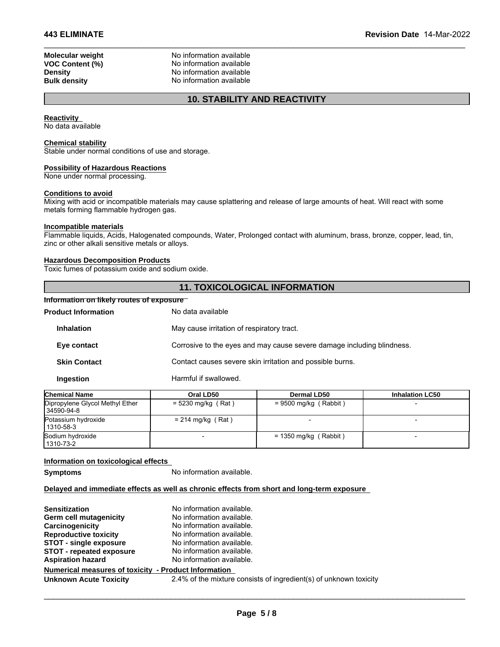**Molecular weight** No information available<br> **VOC Content (%)** No information available **VOC Content (%)** No information available<br>
Density<br>
No information available **Density**<br> **Bulk density**<br> **Bulk density**<br> **CO N**o information available **No information available 10. STABILITY AND REACTIVITY**<br> **10. STABILITY AND REACTIVITY**<br> **10. STABILITY AND REACTIVITY** 

\_\_\_\_\_\_\_\_\_\_\_\_\_\_\_\_\_\_\_\_\_\_\_\_\_\_\_\_\_\_\_\_\_\_\_\_\_\_\_\_\_\_\_\_\_\_\_\_\_\_\_\_\_\_\_\_\_\_\_\_\_\_\_\_\_\_\_\_\_\_\_\_\_\_\_\_\_\_\_\_\_\_\_\_\_\_\_\_\_\_\_\_\_

### **Reactivity**

No data available

# **Chemical stability**

### **Possibility of Hazardous Reactions**

### **Conditions to avoid**

### **Incompatible materials**

### **Hazardous Decomposition Products**

### **Information on likely routes of exposure**

| Stable under normal conditions of use and storage.                                          |                                                                                                                             |
|---------------------------------------------------------------------------------------------|-----------------------------------------------------------------------------------------------------------------------------|
| <b>Possibility of Hazardous Reactions</b><br>None under normal processing.                  |                                                                                                                             |
| <b>Conditions to avoid</b><br>metals forming flammable hydrogen gas.                        | Mixing with acid or incompatible materials may cause splattering and release of large amounts of heat. Will react with some |
| Incompatible materials<br>zinc or other alkali sensitive metals or alloys.                  | Flammable liquids, Acids, Halogenated compounds, Water, Prolonged contact with aluminum, brass, bronze, copper, lead, tin,  |
| <b>Hazardous Decomposition Products</b><br>Toxic fumes of potassium oxide and sodium oxide. |                                                                                                                             |
|                                                                                             | <b>11. TOXICOLOGICAL INFORMATION</b>                                                                                        |
| Information on likely routes of exposure T                                                  |                                                                                                                             |
| <b>Product Information</b>                                                                  | No data available                                                                                                           |
| <b>Inhalation</b>                                                                           | May cause irritation of respiratory tract.                                                                                  |
| Eye contact                                                                                 | Corrosive to the eyes and may cause severe damage including blindness.                                                      |
| <b>Skin Contact</b>                                                                         | Contact causes severe skin irritation and possible burns.                                                                   |
| <b>Ingestion</b>                                                                            | Harmful if swallowed.                                                                                                       |

| <b>Chemical Name</b>                          | Oral LD50            | <b>Dermal LD50</b>      | <b>Inhalation LC50</b> |
|-----------------------------------------------|----------------------|-------------------------|------------------------|
| Dipropylene Glycol Methyl Ether<br>34590-94-8 | $= 5230$ mg/kg (Rat) | $= 9500$ mg/kg (Rabbit) |                        |
| Potassium hydroxide<br>  1310-58-3            | $= 214$ mg/kg (Rat)  |                         |                        |
| Sodium hydroxide<br>  1310-73-2               |                      | $= 1350$ mg/kg (Rabbit) |                        |

### **Information on toxicological effects**

**Symptoms** No information available.

# **Delayed and immediate effects as well as chronic effects from short and long-term exposure**

| <b>Sensitization</b>                                 | No information available.                                         |
|------------------------------------------------------|-------------------------------------------------------------------|
| Germ cell mutagenicity                               | No information available.                                         |
| Carcinogenicity                                      | No information available.                                         |
| <b>Reproductive toxicity</b>                         | No information available.                                         |
| <b>STOT - single exposure</b>                        | No information available.                                         |
| <b>STOT - repeated exposure</b>                      | No information available.                                         |
| <b>Aspiration hazard</b>                             | No information available.                                         |
| Numerical measures of toxicity - Product Information |                                                                   |
| <b>Unknown Acute Toxicity</b>                        | 2.4% of the mixture consists of ingredient(s) of unknown toxicity |
|                                                      |                                                                   |
|                                                      |                                                                   |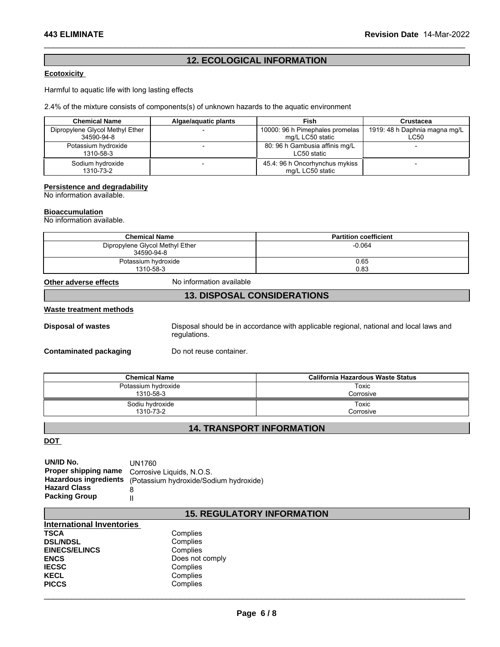# A43 ELIMINATE<br>202 Mevision Date 14-Mar-202<br>Ecotoxicity<br>Harmful to aquatic life with long lasting effects

# **Ecotoxicity**

Harmful to aquatic life with long lasting effects

2.4% of the mixture consists of components(s) of unknown hazards to the aquatic environment

| <b>Chemical Name</b>            | Algae/aguatic plants | Fish                            | Crustacea                     |
|---------------------------------|----------------------|---------------------------------|-------------------------------|
| Dipropylene Glycol Methyl Ether |                      | 10000: 96 h Pimephales promelas | 1919: 48 h Daphnia magna mg/L |
| 34590-94-8                      |                      | mg/L LC50 static                | LC50                          |
| Potassium hydroxide             |                      | 80: 96 h Gambusia affinis mg/L  |                               |
| 1310-58-3                       |                      | LC50 static                     |                               |
| Sodium hydroxide                |                      | 45.4: 96 h Oncorhynchus mykiss  |                               |
| 1310-73-2                       |                      | mg/L LC50 static                |                               |

### **Persistence and degradability**

### **Bioaccumulation**

| 13 IU-00-3                                                 |                          | LUOU SIAIIC                                                                            |  |
|------------------------------------------------------------|--------------------------|----------------------------------------------------------------------------------------|--|
| Sodium hydroxide<br>1310-73-2                              |                          | 45.4: 96 h Oncorhynchus mykiss<br>mg/L LC50 static                                     |  |
| Persistence and degradability<br>No information available. |                          |                                                                                        |  |
|                                                            |                          |                                                                                        |  |
| <b>Bioaccumulation</b><br>No information available.        |                          |                                                                                        |  |
|                                                            | <b>Chemical Name</b>     | <b>Partition coefficient</b>                                                           |  |
| Dipropylene Glycol Methyl Ether<br>34590-94-8              |                          | $-0.064$                                                                               |  |
| Potassium hydroxide<br>1310-58-3                           |                          | 0.65<br>0.83                                                                           |  |
| Other adverse effects                                      | No information available |                                                                                        |  |
|                                                            |                          | <b>13. DISPOSAL CONSIDERATIONS</b>                                                     |  |
| Waste treatment methods                                    |                          |                                                                                        |  |
| <b>Disposal of wastes</b>                                  |                          | Disposal should be in accordance with applicable regional, national and local laws and |  |

### **Waste treatment methods**

|                                                                                                                                                                                                                    |                                                                                                        | <b>13. DISPOSAL CONSIDERATIONS</b>       |  |
|--------------------------------------------------------------------------------------------------------------------------------------------------------------------------------------------------------------------|--------------------------------------------------------------------------------------------------------|------------------------------------------|--|
| Waste treatment methods                                                                                                                                                                                            |                                                                                                        |                                          |  |
| <b>Disposal of wastes</b>                                                                                                                                                                                          | Disposal should be in accordance with applicable regional, national and local laws and<br>regulations. |                                          |  |
| <b>Contaminated packaging</b>                                                                                                                                                                                      | Do not reuse container.                                                                                |                                          |  |
|                                                                                                                                                                                                                    | <b>Chemical Name</b>                                                                                   | <b>California Hazardous Waste Status</b> |  |
|                                                                                                                                                                                                                    | Potassium hydroxide<br>1310-58-3                                                                       | Toxic<br>Corrosive                       |  |
|                                                                                                                                                                                                                    | Sodiu hydroxide<br>1310-73-2                                                                           | Toxic<br>Corrosive                       |  |
|                                                                                                                                                                                                                    |                                                                                                        | <b>14. TRANSPORT INFORMATION</b>         |  |
| DOT                                                                                                                                                                                                                |                                                                                                        |                                          |  |
| UN/ID No.<br><b>UN1760</b><br>Proper shipping name<br>Corrosive Liquids, N.O.S.<br><b>Hazardous ingredients</b><br>(Potassium hydroxide/Sodium hydroxide)<br><b>Hazard Class</b><br>8<br><b>Packing Group</b><br>Ш |                                                                                                        |                                          |  |
|                                                                                                                                                                                                                    |                                                                                                        | <b>15. REGULATORY INFORMATION</b>        |  |
| <b>International Inventories</b><br><b>TSCA</b><br><b>DSL/NDSL</b><br><b>EINECS/ELINCS</b>                                                                                                                         | Complies<br>Complies<br>Complias                                                                       |                                          |  |

| UN/ID No.                    | UN1760                                 |
|------------------------------|----------------------------------------|
| Proper shipping name         | Corrosive Liquids, N.O.S.              |
| <b>Hazardous ingredients</b> | (Potassium hydroxide/Sodium hydroxide) |
| <b>Hazard Class</b>          |                                        |
| <b>Packing Group</b>         |                                        |

| International Inventories |                 |
|---------------------------|-----------------|
| <b>TSCA</b>               | Complies        |
| <b>DSL/NDSL</b>           | Complies        |
| <b>EINECS/ELINCS</b>      | Complies        |
| <b>ENCS</b>               | Does not comply |
| <b>IECSC</b>              | Complies        |
| <b>KECL</b>               | Complies        |
| <b>PICCS</b>              | Complies        |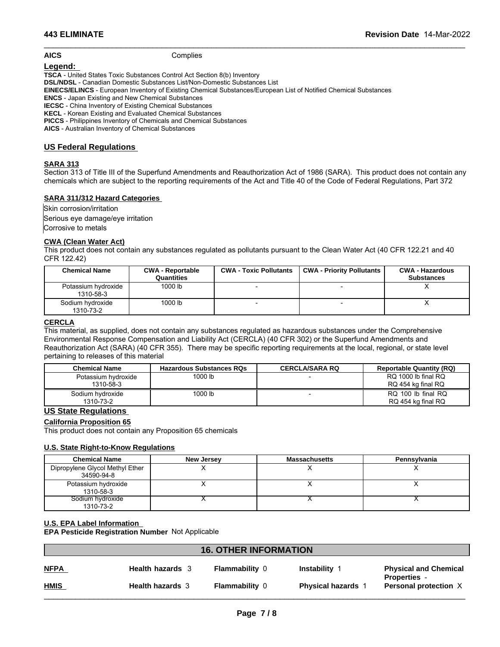# **AICS** Complies

# **Legend:**

**TSCA** - United States Toxic Substances Control Act Section 8(b) Inventory **DSL/NDSL** - Canadian Domestic Substances List/Non-Domestic Substances List **EINECS/ELINCS** - European Inventory of Existing Chemical Substances/European List of Notified Chemical Substances **ENCS** - Japan Existing and New Chemical Substances **IECSC** - China Inventory of Existing Chemical Substances **KECL** - Korean Existing and Evaluated Chemical Substances **PICCS** - Philippines Inventory of Chemicals and Chemical Substances **AICS** - Australian Inventory of Chemical Substances

# **US Federal Regulations**

# **SARA 313**

\_\_\_\_\_\_\_\_\_\_\_\_\_\_\_\_\_\_\_\_\_\_\_\_\_\_\_\_\_\_\_\_\_\_\_\_\_\_\_\_\_\_\_\_\_\_\_\_\_\_\_\_\_\_\_\_\_\_\_\_\_\_\_\_\_\_\_\_\_\_\_\_\_\_\_\_\_\_\_\_\_\_\_\_\_\_\_\_\_\_\_\_\_

# **SARA 311/312 Hazard Categories**

# **CWA (Clean Water Act)**

|                                             |                         |                               | Section 313 of Title III of the Superfund Amendments and Reauthorization Act of 1986 (SARA). This product does not contain any<br>chemicals which are subject to the reporting requirements of the Act and Title 40 of the Code of Federal Regulations, Part 372 |                                             |
|---------------------------------------------|-------------------------|-------------------------------|------------------------------------------------------------------------------------------------------------------------------------------------------------------------------------------------------------------------------------------------------------------|---------------------------------------------|
| <b>SARA 311/312 Hazard Categories</b>       |                         |                               |                                                                                                                                                                                                                                                                  |                                             |
| Skin corrosion/irritation                   |                         |                               |                                                                                                                                                                                                                                                                  |                                             |
| Serious eye damage/eye irritation           |                         |                               |                                                                                                                                                                                                                                                                  |                                             |
| Corrosive to metals                         |                         |                               |                                                                                                                                                                                                                                                                  |                                             |
| <b>CWA (Clean Water Act)</b><br>CFR 122.42) |                         |                               | This product does not contain any substances requlated as pollutants pursuant to the Clean Water Act (40 CFR 122.21 and 40                                                                                                                                       |                                             |
| <b>Chemical Name</b>                        | <b>CWA - Reportable</b> |                               |                                                                                                                                                                                                                                                                  |                                             |
|                                             | Quantities              | <b>CWA - Toxic Pollutants</b> | <b>CWA - Priority Pollutants</b>                                                                                                                                                                                                                                 | <b>CWA - Hazardous</b><br><b>Substances</b> |
| Potassium hydroxide<br>1310-58-3            | 1000 lb                 |                               |                                                                                                                                                                                                                                                                  | x                                           |

### **CERCLA**

This material, as supplied, does not contain any substances regulated as hazardous substances under the Comprehensive Environmental Response Compensation and Liability Act (CERCLA) (40 CFR 302) or the Superfund Amendments and Reauthorization Act (SARA) (40 CFR 355). There may be specific reporting requirements at the local, regional, or state level pertaining to releases of this material

| <b>Chemical Name</b>             | <b>Hazardous Substances RQs</b> | <b>CERCLA/SARA RQ</b> | <b>Reportable Quantity (RQ)</b>           |
|----------------------------------|---------------------------------|-----------------------|-------------------------------------------|
| Potassium hydroxide<br>1310-58-3 | 1000 lb                         |                       | RQ 1000 lb final RQ<br>RQ 454 kg final RQ |
| Sodium hydroxide<br>1310-73-2    | 1000 lb                         |                       | RQ 100 lb final RQ<br>RQ 454 kg final RQ  |

# **US State Regulations**

# **California Proposition 65**

# **U.S. State Right-to-Know Regulations**

| <b>US State Regulations</b>                                                                    |                         |                              |                           |                                              |
|------------------------------------------------------------------------------------------------|-------------------------|------------------------------|---------------------------|----------------------------------------------|
| <b>California Proposition 65</b><br>This product does not contain any Proposition 65 chemicals |                         |                              |                           |                                              |
|                                                                                                |                         |                              |                           |                                              |
| <b>U.S. State Right-to-Know Regulations</b>                                                    |                         |                              |                           |                                              |
| <b>Chemical Name</b>                                                                           |                         | <b>New Jersey</b>            | <b>Massachusetts</b>      | Pennsylvania                                 |
| Dipropylene Glycol Methyl Ether<br>34590-94-8                                                  |                         | X                            | x                         | X                                            |
| Potassium hydroxide<br>1310-58-3                                                               |                         | х                            | X                         | X                                            |
| Sodium hydroxide<br>1310-73-2                                                                  |                         | ⋏                            | v                         | х                                            |
| <b>U.S. EPA Label Information</b>                                                              |                         |                              |                           |                                              |
| EPA Pesticide Registration Number Not Applicable                                               |                         |                              |                           |                                              |
|                                                                                                |                         |                              |                           |                                              |
|                                                                                                |                         | <b>16. OTHER INFORMATION</b> |                           |                                              |
| <b>NFPA</b>                                                                                    | <b>Health hazards</b> 3 | <b>Flammability 0</b>        | <b>Instability 1</b>      | <b>Physical and Chemical</b>                 |
| <b>HMIS</b>                                                                                    | <b>Health hazards</b> 3 | <b>Flammability</b> $\theta$ | <b>Physical hazards</b> 1 | <b>Properties -</b><br>Personal protection X |

# **U.S. EPA Label Information**

| <b>NFPA</b><br><b>Flammability 0</b><br>Instability<br><b>Physical and Chemical</b><br><b>Health hazards</b> 3<br><b>Properties</b> -<br><b>HMIS</b><br><b>Flammability 0</b><br>Personal protection X<br><b>Health hazards 3</b><br><b>Physical hazards 1</b> | <b>16. OTHER INFORMATION</b> |  |  |  |  |
|----------------------------------------------------------------------------------------------------------------------------------------------------------------------------------------------------------------------------------------------------------------|------------------------------|--|--|--|--|
|                                                                                                                                                                                                                                                                |                              |  |  |  |  |
|                                                                                                                                                                                                                                                                |                              |  |  |  |  |